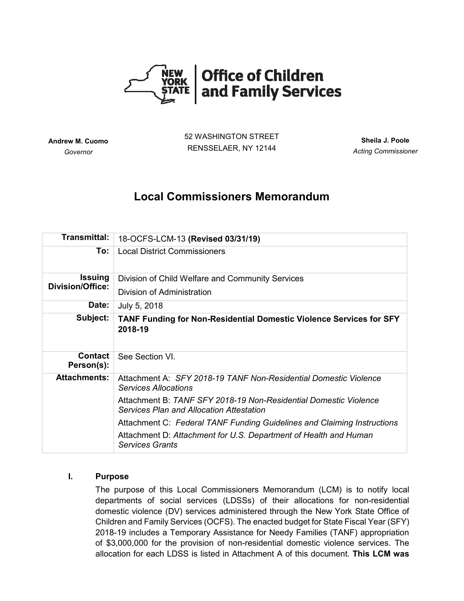

**Andrew M. Cuomo** *Governor*

52 WASHINGTON STREET RENSSELAER, NY 12144

**Sheila J. Poole** *Acting Commissioner*

# **Local Commissioners Memorandum**

| <b>Transmittal:</b>                       | 18-OCFS-LCM-13 (Revised 03/31/19)                                                                                   |
|-------------------------------------------|---------------------------------------------------------------------------------------------------------------------|
| To:                                       | <b>Local District Commissioners</b>                                                                                 |
| <b>Issuing</b><br><b>Division/Office:</b> | Division of Child Welfare and Community Services                                                                    |
|                                           | Division of Administration                                                                                          |
| Date:                                     | July 5, 2018                                                                                                        |
| Subject:                                  | <b>TANF Funding for Non-Residential Domestic Violence Services for SFY</b><br>2018-19                               |
| <b>Contact</b><br>Person(s):              | See Section VI.                                                                                                     |
| <b>Attachments:</b>                       | Attachment A: SFY 2018-19 TANF Non-Residential Domestic Violence<br><b>Services Allocations</b>                     |
|                                           | Attachment B: TANF SFY 2018-19 Non-Residential Domestic Violence<br><b>Services Plan and Allocation Attestation</b> |
|                                           | Attachment C: Federal TANF Funding Guidelines and Claiming Instructions                                             |
|                                           | Attachment D: Attachment for U.S. Department of Health and Human<br><b>Services Grants</b>                          |

# **I. Purpose**

The purpose of this Local Commissioners Memorandum (LCM) is to notify local departments of social services (LDSSs) of their allocations for non-residential domestic violence (DV) services administered through the New York State Office of Children and Family Services (OCFS). The enacted budget for State Fiscal Year (SFY) 2018-19 includes a Temporary Assistance for Needy Families (TANF) appropriation of \$3,000,000 for the provision of non-residential domestic violence services. The allocation for each LDSS is listed in Attachment A of this document. **This LCM was**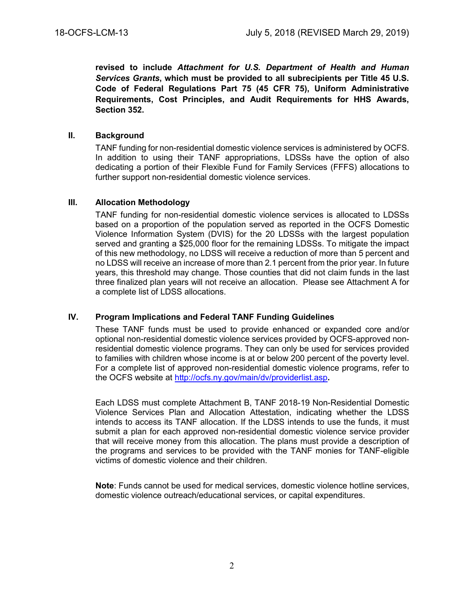**revised to include** *Attachment for U.S. Department of Health and Human Services Grants***, which must be provided to all subrecipients per Title 45 U.S. Code of Federal Regulations Part 75 (45 CFR 75), Uniform Administrative Requirements, Cost Principles, and Audit Requirements for HHS Awards, Section 352.**

#### **II. Background**

TANF funding for non-residential domestic violence services is administered by OCFS. In addition to using their TANF appropriations, LDSSs have the option of also dedicating a portion of their Flexible Fund for Family Services (FFFS) allocations to further support non-residential domestic violence services.

## **III. Allocation Methodology**

TANF funding for non-residential domestic violence services is allocated to LDSSs based on a proportion of the population served as reported in the OCFS Domestic Violence Information System (DVIS) for the 20 LDSSs with the largest population served and granting a \$25,000 floor for the remaining LDSSs. To mitigate the impact of this new methodology, no LDSS will receive a reduction of more than 5 percent and no LDSS will receive an increase of more than 2.1 percent from the prior year. In future years, this threshold may change. Those counties that did not claim funds in the last three finalized plan years will not receive an allocation. Please see Attachment A for a complete list of LDSS allocations.

## **IV. Program Implications and Federal TANF Funding Guidelines**

These TANF funds must be used to provide enhanced or expanded core and/or optional non-residential domestic violence services provided by OCFS-approved nonresidential domestic violence programs. They can only be used for services provided to families with children whose income is at or below 200 percent of the poverty level. For a complete list of approved non-residential domestic violence programs, refer to the OCFS website at<http://ocfs.ny.gov/main/dv/providerlist.asp>**.**

Each LDSS must complete Attachment B, TANF 2018-19 Non-Residential Domestic Violence Services Plan and Allocation Attestation, indicating whether the LDSS intends to access its TANF allocation. If the LDSS intends to use the funds, it must submit a plan for each approved non-residential domestic violence service provider that will receive money from this allocation. The plans must provide a description of the programs and services to be provided with the TANF monies for TANF-eligible victims of domestic violence and their children.

**Note**: Funds cannot be used for medical services, domestic violence hotline services, domestic violence outreach/educational services, or capital expenditures.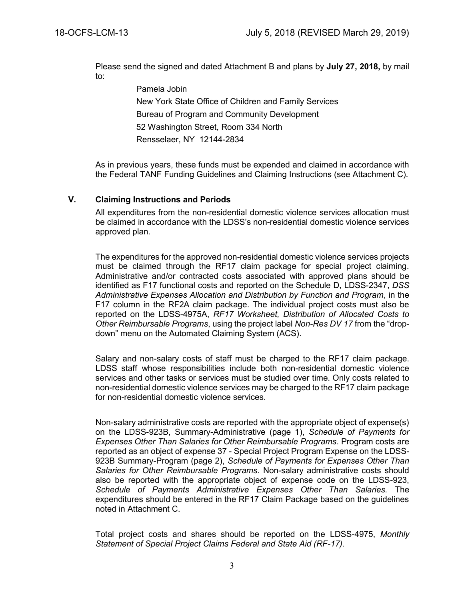Please send the signed and dated Attachment B and plans by **July 27, 2018,** by mail to:

> Pamela Jobin New York State Office of Children and Family Services Bureau of Program and Community Development 52 Washington Street, Room 334 North Rensselaer, NY 12144-2834

As in previous years, these funds must be expended and claimed in accordance with the Federal TANF Funding Guidelines and Claiming Instructions (see Attachment C).

#### **V. Claiming Instructions and Periods**

All expenditures from the non-residential domestic violence services allocation must be claimed in accordance with the LDSS's non-residential domestic violence services approved plan.

The expenditures for the approved non-residential domestic violence services projects must be claimed through the RF17 claim package for special project claiming. Administrative and/or contracted costs associated with approved plans should be identified as F17 functional costs and reported on the Schedule D, LDSS-2347, *DSS Administrative Expenses Allocation and Distribution by Function and Program*, in the F17 column in the RF2A claim package. The individual project costs must also be reported on the LDSS-4975A, *RF17 Worksheet, Distribution of Allocated Costs to Other Reimbursable Programs*, using the project label *Non-Res DV 17* from the "dropdown" menu on the Automated Claiming System (ACS).

Salary and non-salary costs of staff must be charged to the RF17 claim package. LDSS staff whose responsibilities include both non-residential domestic violence services and other tasks or services must be studied over time. Only costs related to non-residential domestic violence services may be charged to the RF17 claim package for non-residential domestic violence services.

Non-salary administrative costs are reported with the appropriate object of expense(s) on the LDSS-923B, Summary-Administrative (page 1), *Schedule of Payments for Expenses Other Than Salaries for Other Reimbursable Programs*. Program costs are reported as an object of expense 37 - Special Project Program Expense on the LDSS-923B Summary-Program (page 2), *Schedule of Payments for Expenses Other Than Salaries for Other Reimbursable Programs*. Non-salary administrative costs should also be reported with the appropriate object of expense code on the LDSS-923, *Schedule of Payments Administrative Expenses Other Than Salaries.* The expenditures should be entered in the RF17 Claim Package based on the guidelines noted in Attachment C.

Total project costs and shares should be reported on the LDSS-4975, *Monthly Statement of Special Project Claims Federal and State Aid (RF-17).*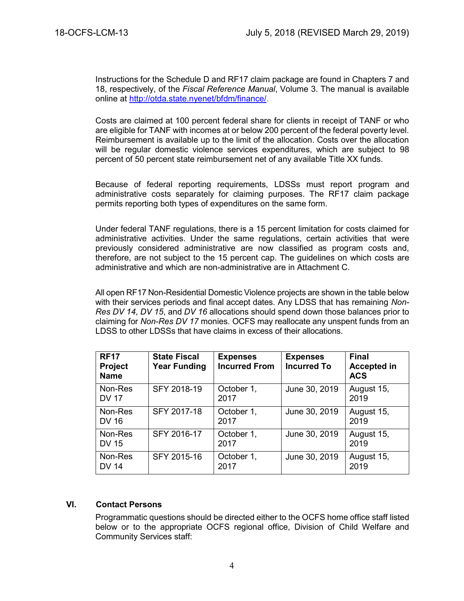Instructions for the Schedule D and RF17 claim package are found in Chapters 7 and 18, respectively, of the *Fiscal Reference Manual*, Volume 3. The manual is available online at [http://otda.state.nyenet/bfdm/finance/.](http://otda.state.nyenet/bfdm/finance/)

Costs are claimed at 100 percent federal share for clients in receipt of TANF or who are eligible for TANF with incomes at or below 200 percent of the federal poverty level. Reimbursement is available up to the limit of the allocation. Costs over the allocation will be regular domestic violence services expenditures, which are subject to 98 percent of 50 percent state reimbursement net of any available Title XX funds.

Because of federal reporting requirements, LDSSs must report program and administrative costs separately for claiming purposes. The RF17 claim package permits reporting both types of expenditures on the same form.

Under federal TANF regulations, there is a 15 percent limitation for costs claimed for administrative activities. Under the same regulations, certain activities that were previously considered administrative are now classified as program costs and, therefore, are not subject to the 15 percent cap. The guidelines on which costs are administrative and which are non-administrative are in Attachment C.

All open RF17 Non-Residential Domestic Violence projects are shown in the table below with their services periods and final accept dates. Any LDSS that has remaining *Non-Res DV 14*, *DV 15*, and *DV 16* allocations should spend down those balances prior to claiming for *Non-Res DV 17* monies. OCFS may reallocate any unspent funds from an LDSS to other LDSSs that have claims in excess of their allocations.

| <b>RF17</b><br><b>Project</b><br><b>Name</b> | <b>State Fiscal</b><br><b>Year Funding</b> | <b>Expenses</b><br><b>Incurred From</b> | <b>Expenses</b><br><b>Incurred To</b> | <b>Final</b><br><b>Accepted in</b><br><b>ACS</b> |
|----------------------------------------------|--------------------------------------------|-----------------------------------------|---------------------------------------|--------------------------------------------------|
| Non-Res<br><b>DV 17</b>                      | SFY 2018-19                                | October 1,<br>2017                      | June 30, 2019                         | August 15,<br>2019                               |
| Non-Res<br><b>DV 16</b>                      | SFY 2017-18                                | October 1,<br>2017                      | June 30, 2019                         | August 15,<br>2019                               |
| Non-Res<br><b>DV 15</b>                      | SFY 2016-17                                | October 1,<br>2017                      | June 30, 2019                         | August 15,<br>2019                               |
| Non-Res<br><b>DV 14</b>                      | SFY 2015-16                                | October 1,<br>2017                      | June 30, 2019                         | August 15,<br>2019                               |

#### **VI. Contact Persons**

Programmatic questions should be directed either to the OCFS home office staff listed below or to the appropriate OCFS regional office, Division of Child Welfare and Community Services staff: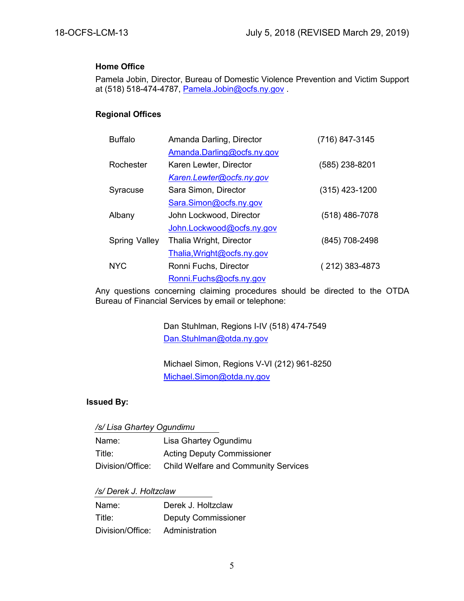### **Home Office**

Pamela Jobin, Director, Bureau of Domestic Violence Prevention and Victim Support at (518) 518-474-4787, [Pamela.Jobin@ocfs.ny.gov](mailto:Pamela.Jobin@ocfs.ny.gov) .

# **Regional Offices**

| <b>Buffalo</b> | Amanda Darling, Director   | (716) 847-3145   |
|----------------|----------------------------|------------------|
|                | Amanda.Darling@ocfs.ny.gov |                  |
| Rochester      | Karen Lewter, Director     | (585) 238-8201   |
|                | Karen.Lewter@ocfs.ny.gov   |                  |
| Syracuse       | Sara Simon, Director       | $(315)$ 423-1200 |
|                | Sara.Simon@ocfs.ny.gov     |                  |
| Albany         | John Lockwood, Director    | (518) 486-7078   |
|                | John.Lockwood@ocfs.ny.gov  |                  |
| Spring Valley  | Thalia Wright, Director    | (845) 708-2498   |
|                | Thalia, Wright@ocfs.ny.gov |                  |
| <b>NYC</b>     | Ronni Fuchs, Director      | (212) 383-4873   |
|                | Ronni.Fuchs@ocfs.ny.gov    |                  |

Any questions concerning claiming procedures should be directed to the OTDA Bureau of Financial Services by email or telephone:

> Dan Stuhlman, Regions I-IV (518) 474-7549 [Dan.Stuhlman@otda.ny.gov](mailto:Edward.Conway@otda.ny.gov)

Michael Simon, Regions V-VI (212) 961-8250 [Michael.Simon@otda.ny.gov](mailto:Michael.Simon@otda.ny.gov)

# **Issued By:**

| /s/ Lisa Ghartey Ogundimu |  |
|---------------------------|--|
|---------------------------|--|

| Name:            | Lisa Ghartey Ogundimu                       |
|------------------|---------------------------------------------|
| Title:           | <b>Acting Deputy Commissioner</b>           |
| Division/Office: | <b>Child Welfare and Community Services</b> |

#### */s/ Derek J. Holtzclaw*

| Name:            | Derek J. Holtzclaw         |
|------------------|----------------------------|
| Title:           | <b>Deputy Commissioner</b> |
| Division/Office: | Administration             |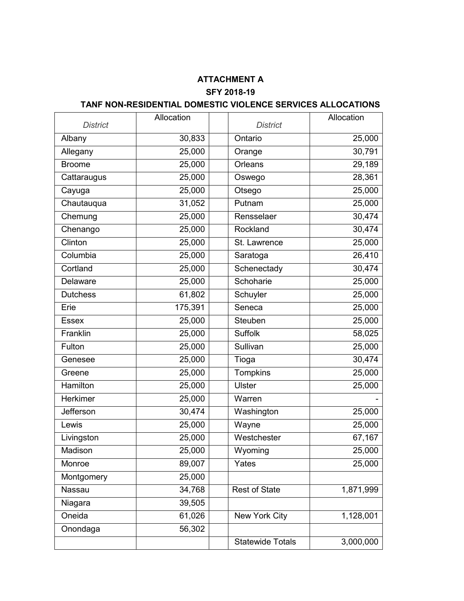# **ATTACHMENT A SFY 2018-19**

# **TANF NON-RESIDENTIAL DOMESTIC VIOLENCE SERVICES ALLOCATIONS**

| <b>District</b> | Allocation | <b>District</b>         | Allocation |
|-----------------|------------|-------------------------|------------|
| Albany          | 30,833     | Ontario                 | 25,000     |
| Allegany        | 25,000     |                         | 30,791     |
|                 | 25,000     | Orange<br>Orleans       | 29,189     |
| <b>Broome</b>   |            |                         |            |
| Cattaraugus     | 25,000     | Oswego                  | 28,361     |
| Cayuga          | 25,000     | Otsego                  | 25,000     |
| Chautauqua      | 31,052     | Putnam                  | 25,000     |
| Chemung         | 25,000     | Rensselaer              | 30,474     |
| Chenango        | 25,000     | Rockland                | 30,474     |
| Clinton         | 25,000     | St. Lawrence            | 25,000     |
| Columbia        | 25,000     | Saratoga                | 26,410     |
| Cortland        | 25,000     | Schenectady             | 30,474     |
| Delaware        | 25,000     | Schoharie               | 25,000     |
| <b>Dutchess</b> | 61,802     | Schuyler                | 25,000     |
| Erie            | 175,391    | Seneca                  | 25,000     |
| <b>Essex</b>    | 25,000     | Steuben                 | 25,000     |
| Franklin        | 25,000     | Suffolk                 | 58,025     |
| Fulton          | 25,000     | Sullivan                | 25,000     |
| Genesee         | 25,000     | Tioga                   | 30,474     |
| Greene          | 25,000     | Tompkins                | 25,000     |
| Hamilton        | 25,000     | <b>Ulster</b>           | 25,000     |
| Herkimer        | 25,000     | Warren                  |            |
| Jefferson       | 30,474     | Washington              | 25,000     |
| Lewis           | 25,000     | Wayne                   | 25,000     |
| Livingston      | 25,000     | Westchester             | 67,167     |
| Madison         | 25,000     | Wyoming                 | 25,000     |
| Monroe          | 89,007     | Yates                   | 25,000     |
| Montgomery      | 25,000     |                         |            |
| Nassau          | 34,768     | <b>Rest of State</b>    | 1,871,999  |
| Niagara         | 39,505     |                         |            |
| Oneida          | 61,026     | New York City           | 1,128,001  |
| Onondaga        | 56,302     |                         |            |
|                 |            | <b>Statewide Totals</b> | 3,000,000  |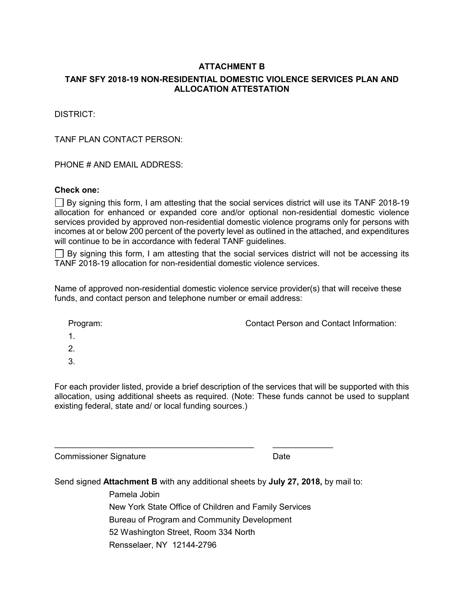# **ATTACHMENT B**

# **TANF SFY 2018-19 NON-RESIDENTIAL DOMESTIC VIOLENCE SERVICES PLAN AND ALLOCATION ATTESTATION**

DISTRICT:

TANF PLAN CONTACT PERSON<sup>.</sup>

PHONE # AND EMAIL ADDRESS:

# **Check one:**

 $\Box$  By signing this form, I am attesting that the social services district will use its TANF 2018-19 allocation for enhanced or expanded core and/or optional non-residential domestic violence services provided by approved non-residential domestic violence programs only for persons with incomes at or below 200 percent of the poverty level as outlined in the attached, and expenditures will continue to be in accordance with federal TANF guidelines.

 $\Box$  By signing this form, I am attesting that the social services district will not be accessing its TANF 2018-19 allocation for non-residential domestic violence services.

Name of approved non-residential domestic violence service provider(s) that will receive these funds, and contact person and telephone number or email address:

| Program:      | <b>Contact Person and Contact Information:</b> |
|---------------|------------------------------------------------|
| $\mathbf 1$ . |                                                |
| 2.            |                                                |
| -3.           |                                                |

For each provider listed, provide a brief description of the services that will be supported with this allocation, using additional sheets as required. (Note: These funds cannot be used to supplant existing federal, state and/ or local funding sources.)

Commissioner Signature Date

Send signed **Attachment B** with any additional sheets by **July 27, 2018,** by mail to:

\_\_\_\_\_\_\_\_\_\_\_\_\_\_\_\_\_\_\_\_\_\_\_\_\_\_\_\_\_\_\_\_\_\_\_\_\_\_\_\_\_\_\_ \_\_\_\_\_\_\_\_\_\_\_\_\_

Pamela Jobin New York State Office of Children and Family Services Bureau of Program and Community Development 52 Washington Street, Room 334 North Rensselaer, NY 12144-2796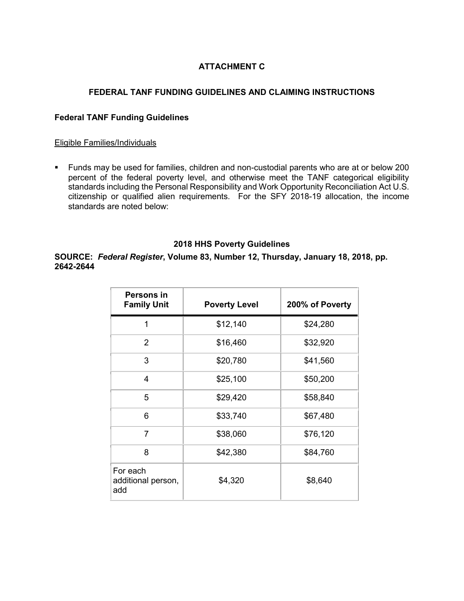# **ATTACHMENT C**

# **FEDERAL TANF FUNDING GUIDELINES AND CLAIMING INSTRUCTIONS**

## **Federal TANF Funding Guidelines**

#### Eligible Families/Individuals

■ Funds may be used for families, children and non-custodial parents who are at or below 200 percent of the federal poverty level, and otherwise meet the TANF categorical eligibility standards including the Personal Responsibility and Work Opportunity Reconciliation Act U.S. citizenship or qualified alien requirements. For the SFY 2018-19 allocation, the income standards are noted below:

#### **2018 HHS Poverty Guidelines**

**SOURCE:** *Federal Register***, Volume 83, Number 12, Thursday, January 18, 2018, pp. 2642-2644**

| Persons in<br><b>Family Unit</b>      | <b>Poverty Level</b> | 200% of Poverty |
|---------------------------------------|----------------------|-----------------|
| 1                                     | \$12,140             | \$24,280        |
| 2                                     | \$16,460             | \$32,920        |
| 3                                     | \$20,780             | \$41,560        |
| 4                                     | \$25,100             | \$50,200        |
| 5                                     | \$29,420             | \$58,840        |
| 6                                     | \$33,740             | \$67,480        |
| 7                                     | \$38,060             | \$76,120        |
| 8                                     | \$42,380             | \$84,760        |
| For each<br>additional person,<br>add | \$4,320              | \$8,640         |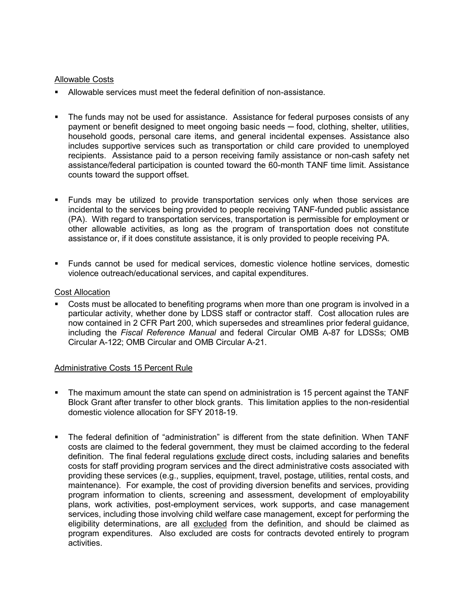#### Allowable Costs

- Allowable services must meet the federal definition of non-assistance.
- The funds may not be used for assistance. Assistance for federal purposes consists of any payment or benefit designed to meet ongoing basic needs — food, clothing, shelter, utilities, household goods, personal care items, and general incidental expenses. Assistance also includes supportive services such as transportation or child care provided to unemployed recipients. Assistance paid to a person receiving family assistance or non-cash safety net assistance/federal participation is counted toward the 60-month TANF time limit. Assistance counts toward the support offset.
- Funds may be utilized to provide transportation services only when those services are incidental to the services being provided to people receiving TANF-funded public assistance (PA). With regard to transportation services, transportation is permissible for employment or other allowable activities, as long as the program of transportation does not constitute assistance or, if it does constitute assistance, it is only provided to people receiving PA.
- Funds cannot be used for medical services, domestic violence hotline services, domestic violence outreach/educational services, and capital expenditures.

#### Cost Allocation

Costs must be allocated to benefiting programs when more than one program is involved in a particular activity, whether done by LDSS staff or contractor staff. Cost allocation rules are now contained in 2 CFR Part 200, which supersedes and streamlines prior federal guidance, including the *Fiscal Reference Manual* and federal Circular OMB A-87 for LDSSs; OMB Circular A-122; OMB Circular and OMB Circular A-21.

#### Administrative Costs 15 Percent Rule

- The maximum amount the state can spend on administration is 15 percent against the TANF Block Grant after transfer to other block grants. This limitation applies to the non-residential domestic violence allocation for SFY 2018-19.
- The federal definition of "administration" is different from the state definition. When TANF costs are claimed to the federal government, they must be claimed according to the federal definition. The final federal regulations exclude direct costs, including salaries and benefits costs for staff providing program services and the direct administrative costs associated with providing these services (e.g., supplies, equipment, travel, postage, utilities, rental costs, and maintenance). For example, the cost of providing diversion benefits and services, providing program information to clients, screening and assessment, development of employability plans, work activities, post-employment services, work supports, and case management services, including those involving child welfare case management, except for performing the eligibility determinations, are all excluded from the definition, and should be claimed as program expenditures. Also excluded are costs for contracts devoted entirely to program activities.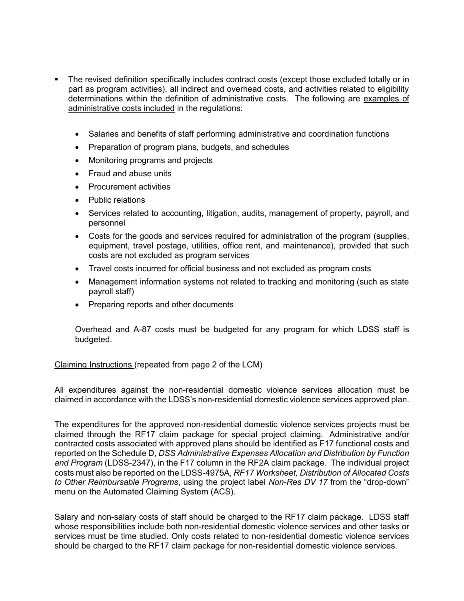- The revised definition specifically includes contract costs (except those excluded totally or in part as program activities), all indirect and overhead costs, and activities related to eligibility determinations within the definition of administrative costs. The following are examples of administrative costs included in the regulations:
	- Salaries and benefits of staff performing administrative and coordination functions
	- Preparation of program plans, budgets, and schedules
	- Monitoring programs and projects
	- Fraud and abuse units
	- Procurement activities
	- Public relations
	- Services related to accounting, litigation, audits, management of property, payroll, and personnel
	- Costs for the goods and services required for administration of the program (supplies, equipment, travel postage, utilities, office rent, and maintenance), provided that such costs are not excluded as program services
	- Travel costs incurred for official business and not excluded as program costs
	- Management information systems not related to tracking and monitoring (such as state payroll staff)
	- Preparing reports and other documents

Overhead and A-87 costs must be budgeted for any program for which LDSS staff is budgeted.

## Claiming Instructions (repeated from page 2 of the LCM)

All expenditures against the non-residential domestic violence services allocation must be claimed in accordance with the LDSS's non-residential domestic violence services approved plan.

The expenditures for the approved non-residential domestic violence services projects must be claimed through the RF17 claim package for special project claiming. Administrative and/or contracted costs associated with approved plans should be identified as F17 functional costs and reported on the Schedule D, *DSS Administrative Expenses Allocation and Distribution by Function and Program* (LDSS-2347), in the F17 column in the RF2A claim package. The individual project costs must also be reported on the LDSS-4975A, *RF17 Worksheet, Distribution of Allocated Costs to Other Reimbursable Programs*, using the project label *Non-Res DV 17* from the "drop-down" menu on the Automated Claiming System (ACS).

Salary and non-salary costs of staff should be charged to the RF17 claim package. LDSS staff whose responsibilities include both non-residential domestic violence services and other tasks or services must be time studied. Only costs related to non-residential domestic violence services should be charged to the RF17 claim package for non-residential domestic violence services.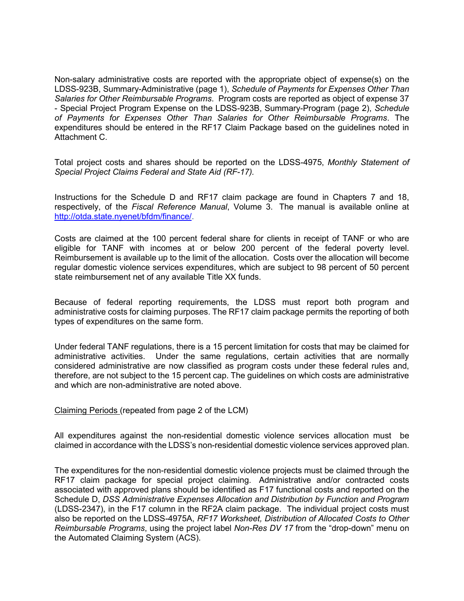Non-salary administrative costs are reported with the appropriate object of expense(s) on the LDSS-923B, Summary-Administrative (page 1), *Schedule of Payments for Expenses Other Than Salaries for Other Reimbursable Programs*. Program costs are reported as object of expense 37 - Special Project Program Expense on the LDSS-923B, Summary-Program (page 2), *Schedule of Payments for Expenses Other Than Salaries for Other Reimbursable Programs*. The expenditures should be entered in the RF17 Claim Package based on the guidelines noted in Attachment C.

Total project costs and shares should be reported on the LDSS-4975, *Monthly Statement of Special Project Claims Federal and State Aid (RF-17).*

Instructions for the Schedule D and RF17 claim package are found in Chapters 7 and 18, respectively, of the *Fiscal Reference Manual*, Volume 3. The manual is available online at [http://otda.state.nyenet/bfdm/finance/.](http://otda.state.nyenet/bfdm/finance/)

Costs are claimed at the 100 percent federal share for clients in receipt of TANF or who are eligible for TANF with incomes at or below 200 percent of the federal poverty level. Reimbursement is available up to the limit of the allocation. Costs over the allocation will become regular domestic violence services expenditures, which are subject to 98 percent of 50 percent state reimbursement net of any available Title XX funds.

Because of federal reporting requirements, the LDSS must report both program and administrative costs for claiming purposes. The RF17 claim package permits the reporting of both types of expenditures on the same form.

Under federal TANF regulations, there is a 15 percent limitation for costs that may be claimed for administrative activities. Under the same regulations, certain activities that are normally considered administrative are now classified as program costs under these federal rules and, therefore, are not subject to the 15 percent cap. The guidelines on which costs are administrative and which are non-administrative are noted above.

Claiming Periods (repeated from page 2 of the LCM)

All expenditures against the non-residential domestic violence services allocation must be claimed in accordance with the LDSS's non-residential domestic violence services approved plan.

The expenditures for the non-residential domestic violence projects must be claimed through the RF17 claim package for special project claiming. Administrative and/or contracted costs associated with approved plans should be identified as F17 functional costs and reported on the Schedule D, *DSS Administrative Expenses Allocation and Distribution by Function and Program*  (LDSS-2347), in the F17 column in the RF2A claim package. The individual project costs must also be reported on the LDSS-4975A, *RF17 Worksheet, Distribution of Allocated Costs to Other Reimbursable Programs*, using the project label *Non-Res DV 17* from the "drop-down" menu on the Automated Claiming System (ACS).